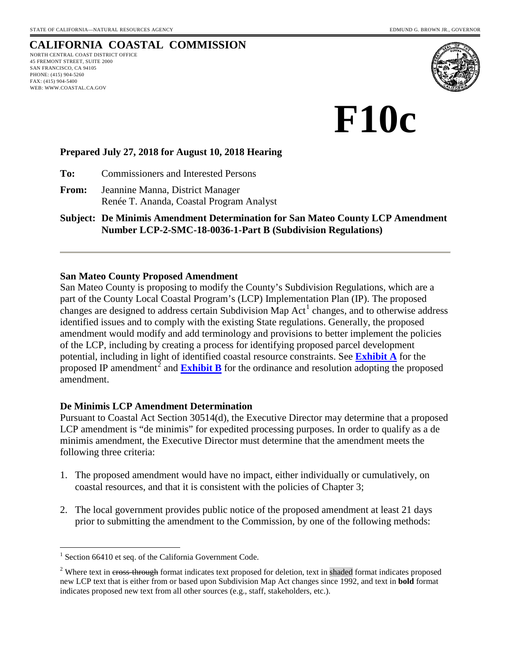# **CALIFORNIA COASTAL COMMISSION**

NORTH CENTRAL COAST DISTRICT OFFICE 45 FREMONT STREET, SUITE 2000 SAN FRANCISCO, CA 94105 PHONE: (415) 904-5260 FAX: (415) 904-5400 WEB: WWW.COASTAL.CA.GOV



**F10c** 

### **Prepared July 27, 2018 for August 10, 2018 Hearing**

**To:** Commissioners and Interested Persons

**From:** Jeannine Manna, District Manager Renée T. Ananda, Coastal Program Analyst

**Subject: De Minimis Amendment Determination for San Mateo County LCP Amendment Number LCP-2-SMC-18-0036-1-Part B (Subdivision Regulations)** 

#### **San Mateo County Proposed Amendment**

San Mateo County is proposing to modify the County's Subdivision Regulations, which are a part of the County Local Coastal Program's (LCP) Implementation Plan (IP). The proposed changes are designed to address certain Subdivision Map  $Act<sup>1</sup>$  $Act<sup>1</sup>$  $Act<sup>1</sup>$  changes, and to otherwise address identified issues and to comply with the existing State regulations. Generally, the proposed amendment would modify and add terminology and provisions to better implement the policies of the LCP, including by creating a process for identifying proposed parcel development potential, including in light of identified coastal resource constraints. See **[Exhibit A](https://documents.coastal.ca.gov/reports/2018/8/f10c/f10c-8-2018-exhibits.pdf)** for the proposed IP amendment<sup>[2](#page-0-1)</sup> and **[Exhibit B](https://documents.coastal.ca.gov/reports/2018/8/f10c/f10c-8-2018-exhibits.pdf)** for the ordinance and resolution adopting the proposed amendment.

### **De Minimis LCP Amendment Determination**

Pursuant to Coastal Act Section 30514(d), the Executive Director may determine that a proposed LCP amendment is "de minimis" for expedited processing purposes. In order to qualify as a de minimis amendment, the Executive Director must determine that the amendment meets the following three criteria:

- 1. The proposed amendment would have no impact, either individually or cumulatively, on coastal resources, and that it is consistent with the policies of Chapter 3;
- 2. The local government provides public notice of the proposed amendment at least 21 days prior to submitting the amendment to the Commission, by one of the following methods:

 $\overline{a}$ 

<span id="page-0-0"></span> $1$  Section 66410 et seq. of the California Government Code.

<span id="page-0-1"></span><sup>&</sup>lt;sup>2</sup> Where text in cross-through format indicates text proposed for deletion, text in shaded format indicates proposed new LCP text that is either from or based upon Subdivision Map Act changes since 1992, and text in **bold** format indicates proposed new text from all other sources (e.g., staff, stakeholders, etc.).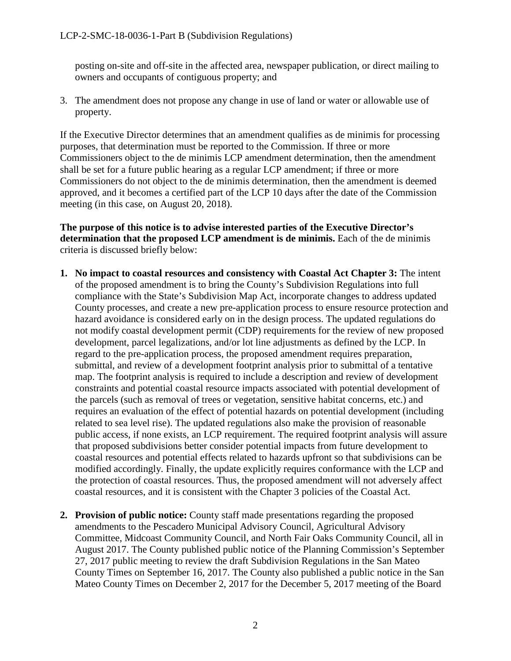posting on-site and off-site in the affected area, newspaper publication, or direct mailing to owners and occupants of contiguous property; and

3. The amendment does not propose any change in use of land or water or allowable use of property.

If the Executive Director determines that an amendment qualifies as de minimis for processing purposes, that determination must be reported to the Commission. If three or more Commissioners object to the de minimis LCP amendment determination, then the amendment shall be set for a future public hearing as a regular LCP amendment; if three or more Commissioners do not object to the de minimis determination, then the amendment is deemed approved, and it becomes a certified part of the LCP 10 days after the date of the Commission meeting (in this case, on August 20, 2018).

**The purpose of this notice is to advise interested parties of the Executive Director's determination that the proposed LCP amendment is de minimis.** Each of the de minimis criteria is discussed briefly below:

- **1. No impact to coastal resources and consistency with Coastal Act Chapter 3:** The intent of the proposed amendment is to bring the County's Subdivision Regulations into full compliance with the State's Subdivision Map Act, incorporate changes to address updated County processes, and create a new pre-application process to ensure resource protection and hazard avoidance is considered early on in the design process. The updated regulations do not modify coastal development permit (CDP) requirements for the review of new proposed development, parcel legalizations, and/or lot line adjustments as defined by the LCP. In regard to the pre-application process, the proposed amendment requires preparation, submittal, and review of a development footprint analysis prior to submittal of a tentative map. The footprint analysis is required to include a description and review of development constraints and potential coastal resource impacts associated with potential development of the parcels (such as removal of trees or vegetation, sensitive habitat concerns, etc.) and requires an evaluation of the effect of potential hazards on potential development (including related to sea level rise). The updated regulations also make the provision of reasonable public access, if none exists, an LCP requirement. The required footprint analysis will assure that proposed subdivisions better consider potential impacts from future development to coastal resources and potential effects related to hazards upfront so that subdivisions can be modified accordingly. Finally, the update explicitly requires conformance with the LCP and the protection of coastal resources. Thus, the proposed amendment will not adversely affect coastal resources, and it is consistent with the Chapter 3 policies of the Coastal Act.
- **2. Provision of public notice:** County staff made presentations regarding the proposed amendments to the Pescadero Municipal Advisory Council, Agricultural Advisory Committee, Midcoast Community Council, and North Fair Oaks Community Council, all in August 2017. The County published public notice of the Planning Commission's September 27, 2017 public meeting to review the draft Subdivision Regulations in the San Mateo County Times on September 16, 2017. The County also published a public notice in the San Mateo County Times on December 2, 2017 for the December 5, 2017 meeting of the Board